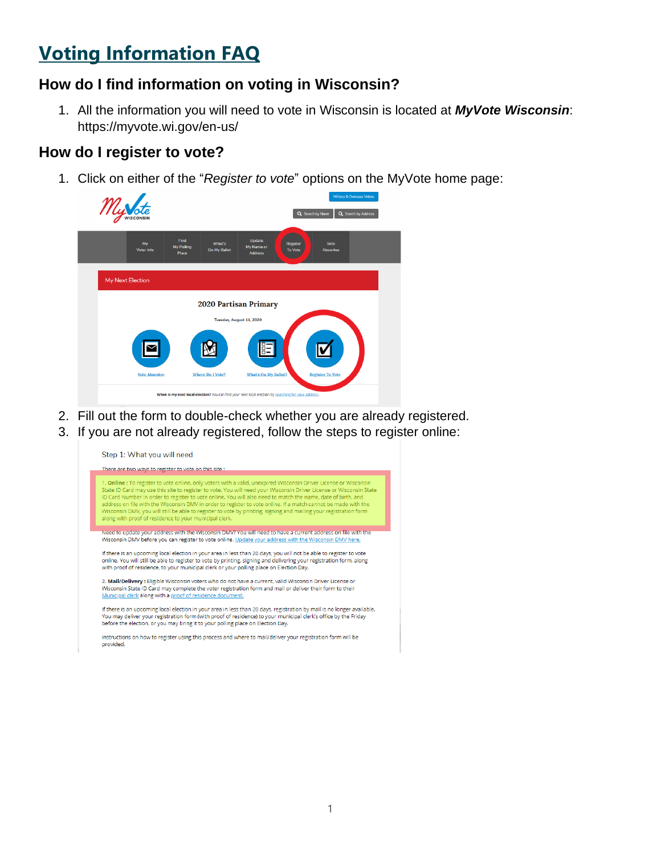# **Voting Information FAQ**

### **How do I find information on voting in Wisconsin?**

1. All the information you will need to vote in Wisconsin is located at *MyVote Wisconsin*: <https://myvote.wi.gov/en-us/>

### **How do I register to vote?**

1. Click on either of the "*Register to vote*" options on the MyVote home page:



- 2. Fill out the form to double-check whether you are already registered.
- 3. If you are not already registered, follow the steps to register online:

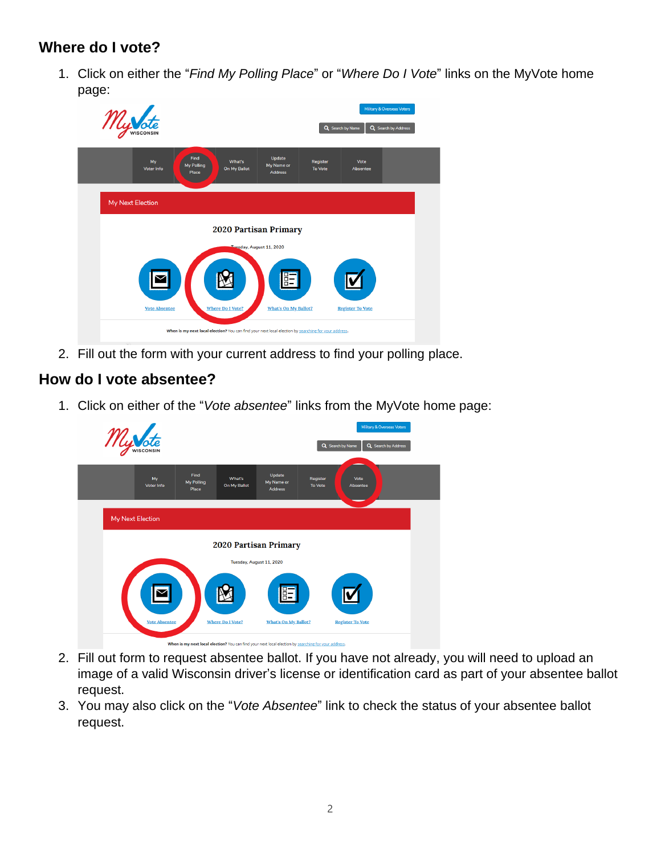## **Where do I vote?**

1. Click on either the "*Find My Polling Place*" or "*Where Do I Vote*" links on the MyVote home page:

|                                                   |                      |                                                                                                      |                                        | Military & Overseas Voters<br>Q Search by Name<br>Q Search by Address |                         |  |  |
|---------------------------------------------------|----------------------|------------------------------------------------------------------------------------------------------|----------------------------------------|-----------------------------------------------------------------------|-------------------------|--|--|
|                                                   | My<br>Voter Info     | Find<br>What's<br>My Polling<br>On My Ballot<br>Place                                                | Update<br>My Name or<br><b>Address</b> | Register<br><b>To Vote</b>                                            | Vote<br>Absentee        |  |  |
| My Next Election                                  |                      |                                                                                                      |                                        |                                                                       |                         |  |  |
| 2020 Partisan Primary<br>Tuesday, August 11, 2020 |                      |                                                                                                      |                                        |                                                                       |                         |  |  |
|                                                   | <b>Vote Absentee</b> | <b>Where Do I Vote?</b>                                                                              | <b>What's On My Ballot?</b>            |                                                                       | <b>Register To Vote</b> |  |  |
|                                                   |                      | When is my next local election? You can find your next local election by searching for your address. |                                        |                                                                       |                         |  |  |

2. Fill out the form with your current address to find your polling place.

## **How do I vote absentee?**

1. Click on either of the "*Vote absentee*" links from the MyVote home page:



- 2. Fill out form to request absentee ballot. If you have not already, you will need to upload an image of a valid Wisconsin driver's license or identification card as part of your absentee ballot request.
- 3. You may also click on the "*Vote Absentee*" link to check the status of your absentee ballot request.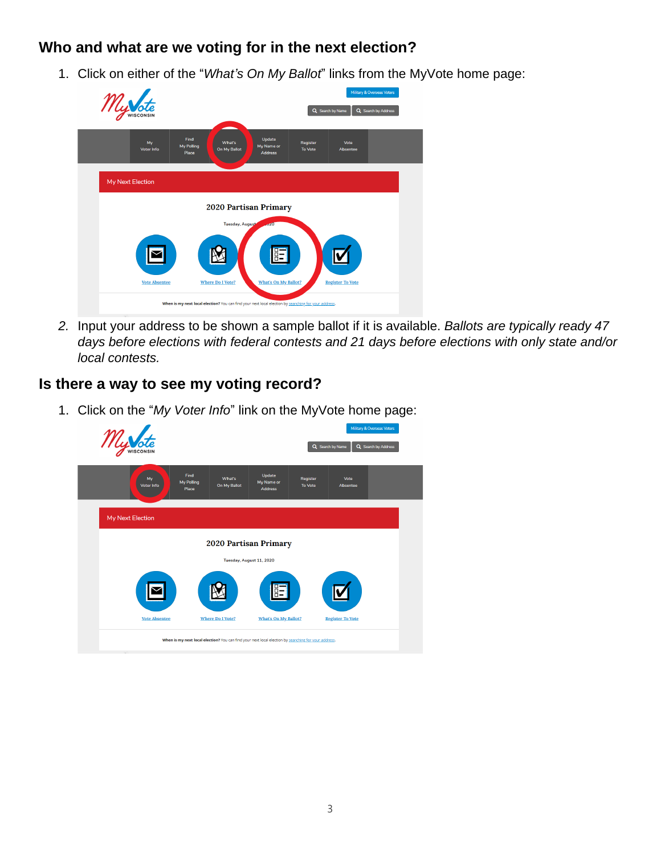## **Who and what are we voting for in the next election?**

1. Click on either of the "*What's On My Ballot*" links from the MyVote home page:



*2.* Input your address to be shown a sample ballot if it is available. *Ballots are typically ready 47 days before elections with federal contests and 21 days before elections with only state and/or local contests.*

### **Is there a way to see my voting record?**

1. Click on the "*My Voter Info*" link on the MyVote home page:

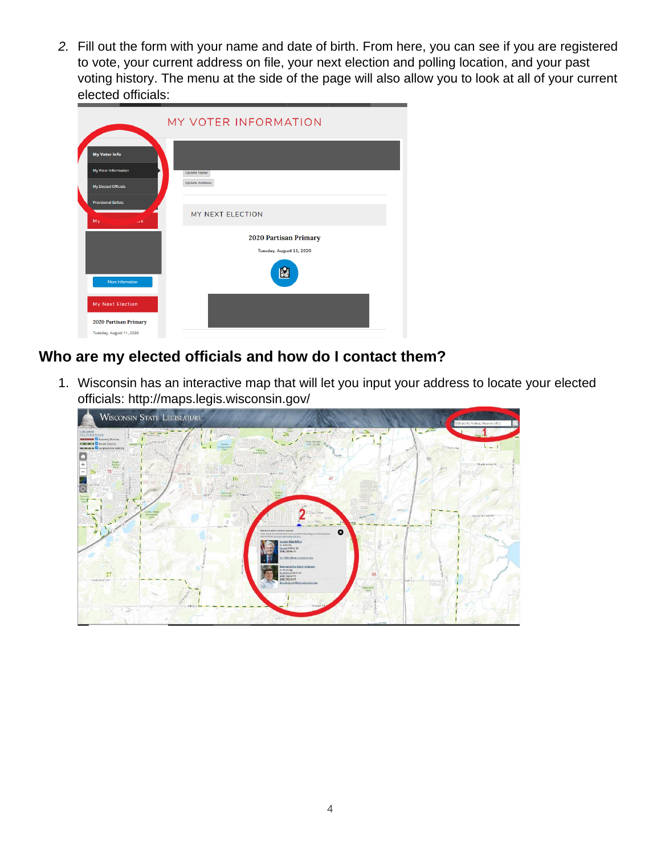*2.* Fill out the form with your name and date of birth. From here, you can see if you are registered to vote, your current address on file, your next election and polling location, and your past voting history. The menu at the side of the page will also allow you to look at all of your current elected officials:

|                                                                       | MY VOTER INFORMATION                              |
|-----------------------------------------------------------------------|---------------------------------------------------|
| <b>My Voter Info</b><br>My Voter Information<br>My Elected Officials  | <b>Update Name</b><br><b>Update Address</b>       |
| <b>Provisional Ballots</b><br>My<br>$\overline{\mathbf{K}}$           | MY NEXT ELECTION                                  |
| More Information                                                      | 2020 Partisan Primary<br>Tuesday, August 11, 2020 |
| My Next Election<br>2020 Partisan Primary<br>Tuesday, August 11, 2020 |                                                   |

## **Who are my elected officials and how do I contact them?**

1. Wisconsin has an interactive map that will let you input your address to locate your elected officials:<http://maps.legis.wisconsin.gov/>

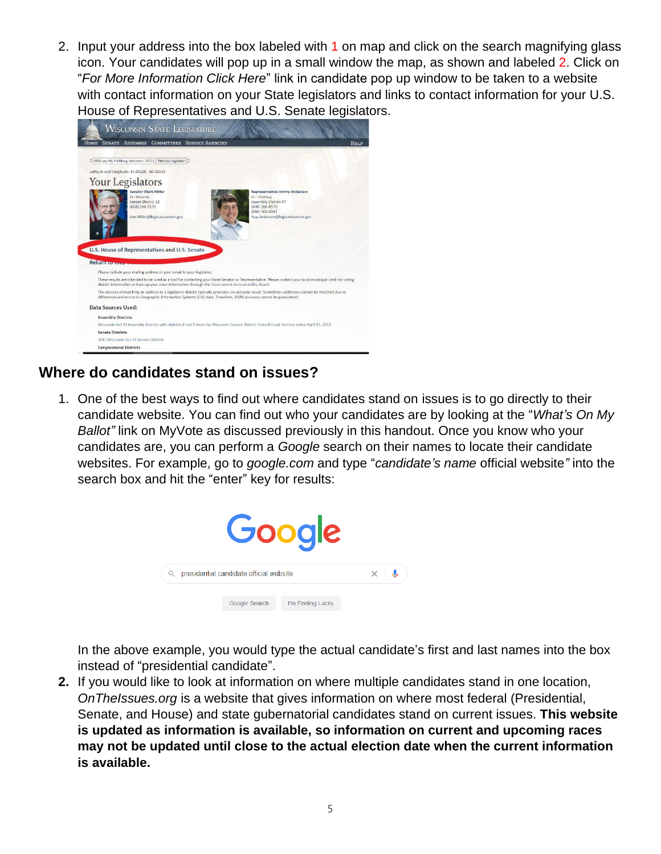2. Input your address into the box labeled with 1 on map and click on the search magnifying glass icon. Your candidates will pop up in a small window the map, as shown and labeled 2. Click on "*For More Information Click Here*" link in candidate pop up window to be taken to a website with contact information on your State legislators and links to contact information for your U.S. House of Representatives and U.S. Senate legislators.



### **Where do candidates stand on issues?**

1. One of the best ways to find out where candidates stand on issues is to go directly to their candidate website. You can find out who your candidates are by looking at the "*What's On My Ballot"* link on MyVote as discussed previously in this handout. Once you know who your candidates are, you can perform a *Google* search on their names to locate their candidate websites. For example, go to *google.com* and type "*candidate's name* official website*"* into the search box and hit the "enter" key for results:



In the above example, you would type the actual candidate's first and last names into the box instead of "presidential candidate".

**2.** If you would like to look at information on where multiple candidates stand in one location, *OnTheIssues.org* is a website that gives information on where most federal (Presidential, Senate, and House) and state gubernatorial candidates stand on current issues. **This website is updated as information is available, so information on current and upcoming races may not be updated until close to the actual election date when the current information is available.**